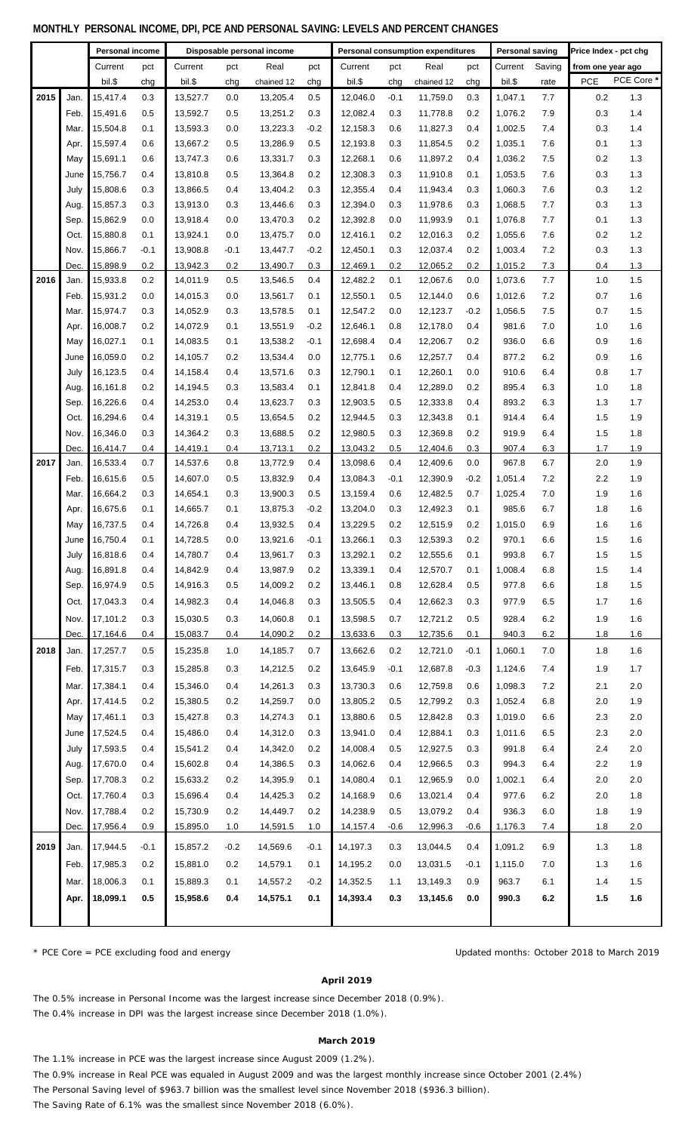### **MONTHLY PERSONAL INCOME, DPI, PCE AND PERSONAL SAVING: LEVELS AND PERCENT CHANGES**

|      |        | Personal income<br>Disposable personal income |        |          |        |            | <b>Personal consumption expenditures</b> |          | <b>Personal saving</b> |            | Price Index - pct chg |         |         |                   |            |
|------|--------|-----------------------------------------------|--------|----------|--------|------------|------------------------------------------|----------|------------------------|------------|-----------------------|---------|---------|-------------------|------------|
|      |        | Current                                       | pct    | Current  | pct    | Real       | pct                                      | Current  | pct                    | Real       | pct                   | Current | Saving  | from one year ago |            |
|      |        | bil.\$                                        | chg    | bil.\$   | chg    | chained 12 | chg                                      | bil.\$   | chg                    | chained 12 | chg                   | bil.\$  | rate    | <b>PCE</b>        | PCE Core * |
| 2015 | Jan.   | 15,417.4                                      | 0.3    | 13,527.7 | 0.0    | 13,205.4   | 0.5                                      | 12,046.0 | $-0.1$                 | 11,759.0   | 0.3                   | 1,047.1 | 7.7     | 0.2               | 1.3        |
|      | Feb.   | 15,491.6                                      | 0.5    | 13,592.7 | 0.5    | 13,251.2   | 0.3                                      | 12,082.4 | 0.3                    | 11,778.8   | 0.2                   | 1,076.2 | 7.9     | 0.3               | 1.4        |
|      | Mar.   | 15,504.8                                      | 0.1    | 13,593.3 | 0.0    | 13,223.3   | $-0.2$                                   | 12,158.3 | 0.6                    | 11,827.3   | 0.4                   | 1,002.5 | 7.4     | 0.3               | 1.4        |
|      | Apr.   | 15,597.4                                      | 0.6    | 13,667.2 | 0.5    | 13,286.9   | 0.5                                      | 12,193.8 | 0.3                    | 11,854.5   | 0.2                   | 1,035.1 | 7.6     | 0.1               | 1.3        |
|      | May    | 15,691.1                                      | 0.6    | 13,747.3 | 0.6    | 13,331.7   | 0.3                                      | 12,268.1 | 0.6                    | 11,897.2   | 0.4                   | 1,036.2 | 7.5     | 0.2               | 1.3        |
|      | June   | 15,756.7                                      | 0.4    | 13,810.8 | 0.5    | 13,364.8   | 0.2                                      | 12,308.3 | 0.3                    | 11,910.8   | 0.1                   | 1,053.5 | 7.6     | 0.3               | 1.3        |
|      | July   | 15,808.6                                      | 0.3    | 13,866.5 | 0.4    | 13,404.2   | 0.3                                      | 12,355.4 | 0.4                    | 11,943.4   | 0.3                   | 1,060.3 | 7.6     | 0.3               | 1.2        |
|      | Aug.   | 15,857.3                                      | 0.3    | 13,913.0 | 0.3    | 13,446.6   | 0.3                                      | 12,394.0 | 0.3                    | 11,978.6   | 0.3                   | 1,068.5 | 7.7     | 0.3               | 1.3        |
|      | Sep.   | 15,862.9                                      | 0.0    | 13,918.4 | 0.0    | 13,470.3   | 0.2                                      | 12,392.8 | 0.0                    | 11,993.9   | 0.1                   | 1,076.8 | 7.7     | 0.1               | 1.3        |
|      | Oct.   | 15,880.8                                      | 0.1    | 13,924.1 | 0.0    | 13,475.7   | 0.0                                      | 12,416.1 | 0.2                    | 12,016.3   | 0.2                   | 1,055.6 | 7.6     | 0.2               | 1.2        |
|      | Nov.   | 15,866.7                                      | $-0.1$ | 13,908.8 | $-0.1$ | 13,447.7   | $-0.2$                                   | 12,450.1 | 0.3                    | 12,037.4   | 0.2                   | 1,003.4 | 7.2     | 0.3               | 1.3        |
|      | Dec.   | 15,898.9                                      | 0.2    | 13,942.3 | 0.2    | 13,490.7   | 0.3                                      | 12,469.1 | 0.2                    | 12,065.2   | 0.2                   | 1,015.2 | 7.3     | 0.4               | 1.3        |
| 2016 | Jan.   | 15,933.8                                      | 0.2    | 14,011.9 | 0.5    | 13,546.5   | 0.4                                      | 12,482.2 | 0.1                    | 12,067.6   | 0.0                   | 1,073.6 | 7.7     | 1.0               | 1.5        |
|      | Feb.   | 15,931.2                                      | 0.0    | 14,015.3 | 0.0    | 13,561.7   | 0.1                                      | 12,550.1 | 0.5                    | 12,144.0   | 0.6                   | 1,012.6 | 7.2     | 0.7               | 1.6        |
|      | Mar.   | 15,974.7                                      | 0.3    | 14,052.9 | 0.3    | 13,578.5   | 0.1                                      | 12,547.2 | 0.0                    | 12,123.7   | $-0.2$                | 1,056.5 | 7.5     | 0.7               | 1.5        |
|      | Apr.   | 16,008.7                                      | 0.2    | 14,072.9 | 0.1    | 13,551.9   | $-0.2$                                   | 12,646.1 | 0.8                    | 12,178.0   | 0.4                   | 981.6   | 7.0     | 1.0               | 1.6        |
|      | May    | 16,027.1                                      | 0.1    | 14,083.5 | 0.1    | 13,538.2   | $-0.1$                                   | 12,698.4 | 0.4                    | 12,206.7   | 0.2                   | 936.0   | 6.6     | 0.9               | 1.6        |
|      | June   | 16,059.0                                      | 0.2    | 14,105.7 | 0.2    | 13,534.4   | 0.0                                      | 12,775.1 | 0.6                    | 12,257.7   | 0.4                   | 877.2   | 6.2     | 0.9               | 1.6        |
|      | July   | 16,123.5                                      | 0.4    | 14,158.4 | 0.4    | 13,571.6   | 0.3                                      | 12,790.1 | 0.1                    | 12,260.1   | 0.0                   | 910.6   | 6.4     | 0.8               | 1.7        |
|      | Aug.   | 16,161.8                                      | 0.2    | 14,194.5 | 0.3    | 13,583.4   | 0.1                                      | 12,841.8 | 0.4                    | 12,289.0   | 0.2                   | 895.4   | 6.3     | 1.0               | 1.8        |
|      | Sep.   | 16,226.6                                      | 0.4    | 14,253.0 | 0.4    | 13,623.7   | 0.3                                      | 12,903.5 | 0.5                    | 12,333.8   | 0.4                   | 893.2   | 6.3     | 1.3               | 1.7        |
|      | Oct.   | 16,294.6                                      | 0.4    | 14,319.1 | 0.5    | 13,654.5   | 0.2                                      | 12,944.5 | 0.3                    | 12,343.8   | 0.1                   | 914.4   | 6.4     | 1.5               | 1.9        |
|      | Nov.   | 16,346.0                                      | 0.3    | 14,364.2 | 0.3    | 13,688.5   | 0.2                                      | 12,980.5 | 0.3                    | 12,369.8   | 0.2                   | 919.9   | 6.4     | 1.5               | 1.8        |
|      | Dec.   | 16,414.7                                      | 0.4    | 14,419.1 | 0.4    | 13,713.1   | 0.2                                      | 13,043.2 | 0.5                    | 12,404.6   | 0.3                   | 907.4   | 6.3     | 1.7               | 1.9        |
| 2017 | Jan.   | 16,533.4                                      | 0.7    | 14,537.6 | 0.8    | 13,772.9   | 0.4                                      | 13,098.6 | 0.4                    | 12,409.6   | 0.0                   | 967.8   | 6.7     | 2.0               | 1.9        |
|      | Feb.   | 16,615.6                                      | 0.5    | 14,607.0 | 0.5    | 13,832.9   | 0.4                                      | 13,084.3 | $-0.1$                 | 12,390.9   | $-0.2$                | 1,051.4 | 7.2     | 2.2               | 1.9        |
|      | Mar.   | 16,664.2                                      | 0.3    | 14,654.1 | 0.3    | 13,900.3   | 0.5                                      | 13,159.4 | 0.6                    | 12,482.5   | 0.7                   | 1,025.4 | 7.0     | 1.9               | 1.6        |
|      | Apr.   | 16,675.6                                      | 0.1    | 14,665.7 | 0.1    | 13,875.3   | $-0.2$                                   | 13,204.0 | 0.3                    | 12,492.3   | 0.1                   | 985.6   | 6.7     | 1.8               | 1.6        |
|      | May    | 16,737.5                                      | 0.4    | 14,726.8 | 0.4    | 13,932.5   | 0.4                                      | 13,229.5 | 0.2                    | 12,515.9   | 0.2                   | 1,015.0 | 6.9     | 1.6               | 1.6        |
|      | June   | 16,750.4                                      | 0.1    | 14,728.5 | 0.0    | 13,921.6   | $-0.1$                                   | 13,266.1 | 0.3                    | 12,539.3   | 0.2                   | 970.1   | $6.6\,$ | 1.5               | 1.6        |
|      | July   | 16,818.6                                      | 0.4    | 14,780.7 | 0.4    | 13,961.7   | 0.3                                      | 13,292.1 | 0.2                    | 12,555.6   | 0.1                   | 993.8   | 6.7     | 1.5               | 1.5        |
|      | Aug.   | 16,891.8                                      | 0.4    | 14,842.9 | 0.4    | 13,987.9   | 0.2                                      | 13,339.1 | 0.4                    | 12,570.7   | 0.1                   | 1,008.4 | 6.8     | 1.5               | 1.4        |
|      | Sep.   | 16,974.9                                      | 0.5    | 14,916.3 | 0.5    | 14,009.2   | 0.2                                      | 13,446.1 | 0.8                    | 12,628.4   | 0.5                   | 977.8   | 6.6     | 1.8               | 1.5        |
|      | Oct.   | 17,043.3                                      | 0.4    | 14,982.3 | 0.4    | 14,046.8   | 0.3                                      | 13,505.5 | 0.4                    | 12,662.3   | 0.3                   | 977.9   | 6.5     | 1.7               | 1.6        |
|      | Nov.   | 17.101.2                                      | 0.3    | 15,030.5 | 0.3    | 14,060.8   | 0.1                                      | 13,598.5 | 0.7                    | 12,721.2   | 0.5                   | 928.4   | 6.2     | 1.9               | 1.6        |
|      | Dec.   | 17,164.6                                      | 0.4    | 15,083.7 | 0.4    | 14,090.2   | 0.2                                      | 13,633.6 | 0.3                    | 12,735.6   | 0.1                   | 940.3   | 6.2     | 1.8               | 1.6        |
| 2018 | Jan.   | 17,257.7                                      | 0.5    | 15,235.8 | 1.0    | 14,185.7   | 0.7                                      | 13,662.6 | 0.2                    | 12,721.0   | $-0.1$                | 1,060.1 | 7.0     | 1.8               | 1.6        |
|      | Feb. I | 17,315.7                                      | 0.3    | 15,285.8 | 0.3    | 14,212.5   | 0.2                                      | 13,645.9 | $-0.1$                 | 12,687.8   | $-0.3$                | 1,124.6 | 7.4     | 1.9               | 1.7        |
|      | Mar.   | 17,384.1                                      | 0.4    | 15,346.0 | 0.4    | 14,261.3   | 0.3                                      | 13,730.3 | 0.6                    | 12,759.8   | 0.6                   | 1,098.3 | 7.2     | 2.1               | 2.0        |
|      | Apr. I | 17,414.5                                      | 0.2    | 15,380.5 | 0.2    | 14,259.7   | 0.0                                      | 13,805.2 | 0.5                    | 12,799.2   | 0.3                   | 1,052.4 | 6.8     | 2.0               | 1.9        |
|      | May    | 17,461.1                                      | 0.3    | 15,427.8 | 0.3    | 14,274.3   | 0.1                                      | 13,880.6 | 0.5                    | 12,842.8   | 0.3                   | 1,019.0 | 6.6     | 2.3               | 2.0        |
|      | June   | 17,524.5                                      | 0.4    | 15,486.0 | 0.4    | 14,312.0   | 0.3                                      | 13,941.0 | 0.4                    | 12,884.1   | 0.3                   | 1,011.6 | 6.5     | 2.3               | 2.0        |
|      | July   | 17,593.5                                      | 0.4    | 15,541.2 | 0.4    | 14,342.0   | 0.2                                      | 14,008.4 | 0.5                    | 12,927.5   | 0.3                   | 991.8   | 6.4     | 2.4               | 2.0        |
|      | Aug.   | 17,670.0                                      | 0.4    | 15,602.8 | 0.4    | 14,386.5   | 0.3                                      | 14,062.6 | 0.4                    | 12,966.5   | 0.3                   | 994.3   | 6.4     | 2.2               | 1.9        |
|      | Sep.   | 17,708.3                                      | 0.2    | 15,633.2 | 0.2    | 14,395.9   | 0.1                                      | 14,080.4 | 0.1                    | 12,965.9   | 0.0                   | 1,002.1 | 6.4     | 2.0               | 2.0        |
|      | Oct.   | 17,760.4                                      | 0.3    | 15,696.4 | 0.4    | 14,425.3   | 0.2                                      | 14,168.9 | 0.6                    | 13,021.4   | 0.4                   | 977.6   | 6.2     | 2.0               | 1.8        |
|      | Nov.   | 17,788.4                                      | 0.2    | 15,730.9 | 0.2    | 14,449.7   | 0.2                                      | 14,238.9 | 0.5                    | 13,079.2   | 0.4                   | 936.3   | 6.0     | 1.8               | 1.9        |
|      | Dec.   | 17,956.4                                      | 0.9    | 15,895.0 | 1.0    | 14,591.5   | 1.0                                      | 14,157.4 | -0.6                   | 12,996.3   | $-0.6$                | 1,176.3 | 7.4     | 1.8               | 2.0        |
| 2019 | Jan.   | 17,944.5                                      | $-0.1$ | 15,857.2 | $-0.2$ | 14,569.6   | $-0.1$                                   | 14,197.3 | 0.3                    | 13,044.5   | 0.4                   | 1,091.2 | 6.9     | 1.3               | 1.8        |
|      | Feb.   | 17,985.3                                      | 0.2    | 15,881.0 | 0.2    | 14,579.1   | 0.1                                      | 14,195.2 | 0.0                    | 13,031.5   | $-0.1$                | 1,115.0 | 7.0     | 1.3               | 1.6        |
|      | Mar.   | 18,006.3                                      | 0.1    | 15,889.3 | 0.1    | 14,557.2   | $-0.2$                                   | 14,352.5 | 1.1                    | 13,149.3   | 0.9                   | 963.7   | 6.1     | 1.4               | 1.5        |
|      | Apr. I | 18,099.1                                      | 0.5    | 15,958.6 | 0.4    | 14,575.1   | 0.1                                      | 14,393.4 | 0.3                    | 13,145.6   | 0.0                   | 990.3   | 6.2     | 1.5               | 1.6        |
|      |        |                                               |        |          |        |            |                                          |          |                        |            |                       |         |         |                   |            |

\* PCE Core = PCE excluding food and energy

Updated months: October 2018 to March 2019

#### **April 2019**

The 0.5% increase in Personal Income was the largest increase since December 2018 (0.9%). The 0.4% increase in DPI was the largest increase since December 2018 (1.0%).

### **March 2019**

The 1.1% increase in PCE was the largest increase since August 2009 (1.2%).

The 0.9% increase in Real PCE was equaled in August 2009 and was the largest monthly increase since October 2001 (2.4%)

The Personal Saving level of \$963.7 billion was the smallest level since November 2018 (\$936.3 billion).

The Saving Rate of 6.1% was the smallest since November 2018 (6.0%).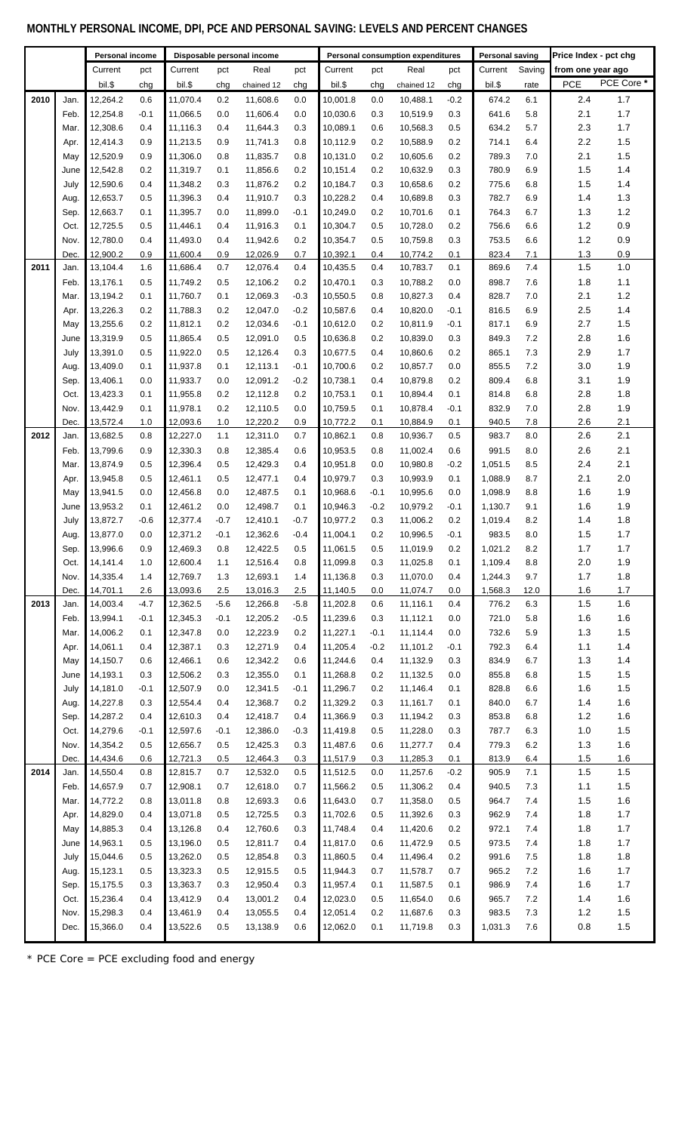# **MONTHLY PERSONAL INCOME, DPI, PCE AND PERSONAL SAVING: LEVELS AND PERCENT CHANGES**

|      |      | Personal income<br>Disposable personal income |        |          |        |            |        | Personal consumption expenditures |        | <b>Personal saving</b> |        | Price Index - pct chg |        |       |                   |  |
|------|------|-----------------------------------------------|--------|----------|--------|------------|--------|-----------------------------------|--------|------------------------|--------|-----------------------|--------|-------|-------------------|--|
|      |      | Current                                       | pct    | Current  | pct    | Real       | pct    | Current                           | pct    | Real                   | pct    | Current               | Saving |       | from one year ago |  |
|      |      | bil.\$                                        |        | bil.\$   | chg    | chained 12 | chg    | bil.\$                            |        | chained 12             | chg    | bil.\$                | rate   | PCE   | PCE Core *        |  |
|      |      |                                               | chg    |          |        |            |        |                                   | chg    |                        |        |                       |        |       |                   |  |
| 2010 | Jan. | 12,264.2                                      | 0.6    | 11,070.4 | 0.2    | 11,608.6   | 0.0    | 10,001.8                          | 0.0    | 10,488.1               | $-0.2$ | 674.2                 | 6.1    | 2.4   | 1.7               |  |
|      | Feb. | 12,254.8                                      | $-0.1$ | 11,066.5 | 0.0    | 11,606.4   | 0.0    | 10,030.6                          | 0.3    | 10,519.9               | 0.3    | 641.6                 | 5.8    | 2.1   | 1.7               |  |
|      | Mar. | 12,308.6                                      | 0.4    | 11,116.3 | 0.4    | 11,644.3   | 0.3    | 10,089.1                          | 0.6    | 10,568.3               | 0.5    | 634.2                 | 5.7    | 2.3   | 1.7               |  |
|      | Apr. | 12,414.3                                      | 0.9    | 11,213.5 | 0.9    | 11,741.3   | 0.8    | 10,112.9                          | 0.2    | 10,588.9               | 0.2    | 714.1                 | 6.4    | 2.2   | 1.5               |  |
|      | May  | 12,520.9                                      | 0.9    | 11,306.0 | 0.8    | 11,835.7   | 0.8    | 10,131.0                          | 0.2    | 10,605.6               | 0.2    | 789.3                 | 7.0    | 2.1   | 1.5               |  |
|      | June | 12,542.8                                      | 0.2    | 11,319.7 | 0.1    | 11,856.6   | 0.2    | 10,151.4                          | 0.2    | 10,632.9               | 0.3    | 780.9                 | 6.9    | 1.5   | 1.4               |  |
|      | July | 12,590.6                                      | 0.4    | 11,348.2 | 0.3    | 11,876.2   | 0.2    | 10,184.7                          | 0.3    | 10,658.6               | 0.2    | 775.6                 | 6.8    | 1.5   | 1.4               |  |
|      | Aug. | 12,653.7                                      | 0.5    | 11,396.3 | 0.4    | 11,910.7   | 0.3    | 10,228.2                          | 0.4    | 10,689.8               | 0.3    | 782.7                 | 6.9    | 1.4   | 1.3               |  |
|      | Sep. | 12,663.7                                      | 0.1    | 11,395.7 | 0.0    | 11,899.0   | $-0.1$ | 10,249.0                          | 0.2    | 10,701.6               | 0.1    | 764.3                 | 6.7    | 1.3   | $1.2$             |  |
|      | Oct. | 12,725.5                                      | 0.5    | 11,446.1 | 0.4    | 11,916.3   | 0.1    | 10,304.7                          | 0.5    | 10,728.0               | 0.2    | 756.6                 | 6.6    | $1.2$ | 0.9               |  |
|      | Nov. | 12,780.0                                      | 0.4    | 11,493.0 | 0.4    | 11,942.6   | 0.2    | 10,354.7                          | 0.5    | 10,759.8               | 0.3    | 753.5                 | 6.6    | $1.2$ | 0.9               |  |
|      | Dec. | 12,900.2                                      | 0.9    | 11,600.4 | 0.9    | 12,026.9   | 0.7    | 10,392.1                          | 0.4    | 10,774.2               | 0.1    | 823.4                 | 7.1    | 1.3   | 0.9               |  |
| 2011 | Jan. | 13,104.4                                      | 1.6    | 11,686.4 | 0.7    | 12,076.4   | 0.4    | 10,435.5                          | 0.4    | 10,783.7               | 0.1    | 869.6                 | 7.4    | 1.5   | 1.0               |  |
|      | Feb. | 13,176.1                                      | 0.5    | 11,749.2 | 0.5    | 12,106.2   | 0.2    | 10,470.1                          | 0.3    | 10,788.2               | 0.0    | 898.7                 | 7.6    | 1.8   | 1.1               |  |
|      | Mar. | 13,194.2                                      | 0.1    | 11,760.7 | 0.1    | 12,069.3   | $-0.3$ | 10,550.5                          | 0.8    | 10,827.3               | 0.4    | 828.7                 | 7.0    | 2.1   | 1.2               |  |
|      | Apr. | 13,226.3                                      | 0.2    | 11,788.3 | 0.2    | 12,047.0   | $-0.2$ | 10,587.6                          | 0.4    | 10,820.0               | $-0.1$ | 816.5                 | 6.9    | 2.5   | 1.4               |  |
|      | May  | 13,255.6                                      | 0.2    | 11,812.1 | 0.2    | 12,034.6   | $-0.1$ | 10,612.0                          | 0.2    | 10,811.9               | $-0.1$ | 817.1                 | 6.9    | 2.7   | 1.5               |  |
|      | June | 13,319.9                                      | 0.5    | 11,865.4 | 0.5    | 12,091.0   | 0.5    | 10,636.8                          | 0.2    | 10,839.0               | 0.3    | 849.3                 | 7.2    | 2.8   | 1.6               |  |
|      |      |                                               |        |          |        |            |        |                                   |        |                        |        |                       |        |       |                   |  |
|      | July | 13,391.0                                      | 0.5    | 11,922.0 | 0.5    | 12,126.4   | 0.3    | 10,677.5                          | 0.4    | 10,860.6               | 0.2    | 865.1                 | 7.3    | 2.9   | 1.7               |  |
|      | Aug. | 13,409.0                                      | 0.1    | 11,937.8 | 0.1    | 12,113.1   | $-0.1$ | 10,700.6                          | 0.2    | 10,857.7               | 0.0    | 855.5                 | 7.2    | 3.0   | 1.9               |  |
|      | Sep. | 13,406.1                                      | 0.0    | 11,933.7 | 0.0    | 12,091.2   | $-0.2$ | 10,738.1                          | 0.4    | 10,879.8               | 0.2    | 809.4                 | 6.8    | 3.1   | 1.9               |  |
|      | Oct. | 13,423.3                                      | 0.1    | 11,955.8 | 0.2    | 12,112.8   | 0.2    | 10,753.1                          | 0.1    | 10,894.4               | 0.1    | 814.8                 | 6.8    | 2.8   | 1.8               |  |
|      | Nov. | 13,442.9                                      | 0.1    | 11,978.1 | 0.2    | 12,110.5   | 0.0    | 10,759.5                          | 0.1    | 10,878.4               | $-0.1$ | 832.9                 | 7.0    | 2.8   | 1.9               |  |
|      | Dec. | 13,572.4                                      | 1.0    | 12,093.6 | 1.0    | 12,220.2   | 0.9    | 10,772.2                          | 0.1    | 10,884.9               | 0.1    | 940.5                 | 7.8    | 2.6   | 2.1               |  |
| 2012 | Jan. | 13,682.5                                      | 0.8    | 12,227.0 | 1.1    | 12,311.0   | 0.7    | 10,862.1                          | 0.8    | 10,936.7               | 0.5    | 983.7                 | 8.0    | 2.6   | 2.1               |  |
|      | Feb. | 13,799.6                                      | 0.9    | 12,330.3 | 0.8    | 12,385.4   | 0.6    | 10,953.5                          | 0.8    | 11,002.4               | 0.6    | 991.5                 | 8.0    | 2.6   | 2.1               |  |
|      | Mar. | 13,874.9                                      | 0.5    | 12,396.4 | 0.5    | 12,429.3   | 0.4    | 10,951.8                          | 0.0    | 10,980.8               | $-0.2$ | 1,051.5               | 8.5    | 2.4   | 2.1               |  |
|      | Apr. | 13,945.8                                      | 0.5    | 12.461.1 | 0.5    | 12,477.1   | 0.4    | 10,979.7                          | 0.3    | 10,993.9               | 0.1    | 1,088.9               | 8.7    | 2.1   | 2.0               |  |
|      | May  | 13,941.5                                      | 0.0    | 12,456.8 | 0.0    | 12,487.5   | 0.1    | 10,968.6                          | $-0.1$ | 10,995.6               | 0.0    | 1,098.9               | 8.8    | 1.6   | 1.9               |  |
|      | June | 13,953.2                                      | 0.1    | 12,461.2 | 0.0    | 12,498.7   | 0.1    | 10,946.3                          | $-0.2$ | 10,979.2               | $-0.1$ | 1,130.7               | 9.1    | 1.6   | 1.9               |  |
|      | July | 13,872.7                                      | $-0.6$ | 12,377.4 | $-0.7$ | 12,410.1   | $-0.7$ | 10,977.2                          | 0.3    | 11,006.2               | 0.2    | 1,019.4               | 8.2    | 1.4   | 1.8               |  |
|      | Aug. | 13,877.0                                      | 0.0    | 12,371.2 | $-0.1$ | 12,362.6   | $-0.4$ | 11,004.1                          | 0.2    | 10,996.5               | $-0.1$ | 983.5                 | 8.0    | 1.5   | 1.7               |  |
|      | Sep. | 13,996.6                                      | 0.9    | 12,469.3 | 0.8    | 12,422.5   | 0.5    | 11,061.5                          | 0.5    | 11,019.9               | 0.2    | 1,021.2               | 8.2    | 1.7   | 1.7               |  |
|      | Oct. | 14,141.4                                      | 1.0    | 12,600.4 | 1.1    | 12,516.4   | 0.8    | 11,099.8                          | 0.3    | 11,025.8               | 0.1    | 1,109.4               | 8.8    | 2.0   | 1.9               |  |
|      | Nov. | 14,335.4                                      | 1.4    | 12,769.7 | 1.3    | 12,693.1   | 1.4    | 11,136.8                          | 0.3    | 11,070.0               | 0.4    | 1,244.3               | 9.7    | 1.7   | 1.8               |  |
|      | Dec. | 14,701.1                                      | 2.6    | 13,093.6 | 2.5    | 13,016.3   | 2.5    | 11,140.5                          | 0.0    | 11,074.7               | 0.0    | 1,568.3               | 12.0   | 1.6   | 1.7               |  |
| 2013 | Jan. | 14,003.4                                      | $-4.7$ | 12,362.5 | $-5.6$ | 12,266.8   | $-5.8$ | 11,202.8                          | 0.6    | 11,116.1               | 0.4    | 776.2                 | 6.3    | 1.5   | 1.6               |  |
|      | Feb. | 13,994.1                                      | $-0.1$ | 12,345.3 | $-0.1$ | 12,205.2   | $-0.5$ | 11,239.6                          | 0.3    | 11,112.1               | 0.0    | 721.0                 | 5.8    | 1.6   | 1.6               |  |
|      | Mar. | 14,006.2                                      | 0.1    | 12,347.8 | 0.0    | 12,223.9   | 0.2    | 11,227.1                          | $-0.1$ | 11,114.4               | 0.0    | 732.6                 | 5.9    | 1.3   | $1.5$             |  |
|      | Apr. | 14,061.1                                      | 0.4    | 12,387.1 | 0.3    | 12,271.9   | 0.4    | 11,205.4                          | $-0.2$ | 11,101.2               | $-0.1$ | 792.3                 | 6.4    | 1.1   | $1.4$             |  |
|      | May  | 14,150.7                                      | 0.6    | 12,466.1 | 0.6    | 12,342.2   | 0.6    | 11,244.6                          | 0.4    | 11,132.9               | 0.3    | 834.9                 | 6.7    | 1.3   | $1.4$             |  |
|      | June | 14,193.1                                      | 0.3    | 12,506.2 | 0.3    | 12,355.0   | 0.1    | 11,268.8                          | 0.2    | 11,132.5               | 0.0    | 855.8                 | 6.8    | 1.5   | $1.5$             |  |
|      | July | 14,181.0                                      | $-0.1$ | 12,507.9 | 0.0    | 12,341.5   | $-0.1$ | 11,296.7                          | 0.2    | 11,146.4               | 0.1    | 828.8                 | 6.6    | 1.6   | $1.5$             |  |
|      | Aug. | 14,227.8                                      | 0.3    | 12,554.4 | 0.4    | 12,368.7   | 0.2    | 11,329.2                          | 0.3    | 11,161.7               | 0.1    | 840.0                 | 6.7    | 1.4   | 1.6               |  |
|      | Sep. | 14,287.2                                      | 0.4    | 12,610.3 | 0.4    | 12,418.7   | 0.4    | 11,366.9                          | 0.3    | 11,194.2               | 0.3    | 853.8                 | 6.8    | 1.2   | 1.6               |  |
|      | Oct. | 14,279.6                                      | $-0.1$ | 12,597.6 | $-0.1$ | 12,386.0   | $-0.3$ | 11,419.8                          | 0.5    | 11,228.0               | 0.3    | 787.7                 | 6.3    | 1.0   | $1.5$             |  |
|      | Nov. | 14,354.2                                      | 0.5    | 12,656.7 | 0.5    | 12,425.3   | 0.3    | 11,487.6                          | 0.6    | 11,277.7               | 0.4    | 779.3                 | 6.2    | 1.3   | 1.6               |  |
|      | Dec. | 14,434.6                                      | 0.6    | 12,721.3 | 0.5    | 12,464.3   | 0.3    | 11,517.9                          | 0.3    | 11,285.3               | 0.1    | 813.9                 | 6.4    | 1.5   | 1.6               |  |
| 2014 | Jan. | 14,550.4                                      | 0.8    | 12,815.7 | 0.7    | 12,532.0   | 0.5    | 11,512.5                          | 0.0    | 11,257.6               | $-0.2$ | 905.9                 | 7.1    | 1.5   | 1.5               |  |
|      |      |                                               |        | 12,908.1 |        |            |        |                                   |        |                        |        | 940.5                 |        |       |                   |  |
|      | Feb. | 14,657.9                                      | 0.7    |          | 0.7    | 12,618.0   | 0.7    | 11,566.2                          | 0.5    | 11,306.2               | 0.4    |                       | 7.3    | 1.1   | 1.5               |  |
|      | Mar. | 14,772.2                                      | 0.8    | 13,011.8 | 0.8    | 12,693.3   | 0.6    | 11,643.0                          | 0.7    | 11,358.0               | 0.5    | 964.7                 | 7.4    | 1.5   | 1.6               |  |
|      | Apr. | 14,829.0                                      | 0.4    | 13,071.8 | 0.5    | 12,725.5   | 0.3    | 11,702.6                          | 0.5    | 11,392.6               | 0.3    | 962.9                 | 7.4    | 1.8   | $1.7$             |  |
|      | May  | 14,885.3                                      | 0.4    | 13,126.8 | 0.4    | 12,760.6   | 0.3    | 11,748.4                          | 0.4    | 11,420.6               | 0.2    | 972.1                 | 7.4    | 1.8   | $1.7$             |  |
|      | June | 14,963.1                                      | 0.5    | 13,196.0 | 0.5    | 12,811.7   | 0.4    | 11,817.0                          | 0.6    | 11,472.9               | 0.5    | 973.5                 | 7.4    | 1.8   | $1.7$             |  |
|      | July | 15,044.6                                      | 0.5    | 13,262.0 | 0.5    | 12,854.8   | 0.3    | 11,860.5                          | 0.4    | 11,496.4               | 0.2    | 991.6                 | 7.5    | 1.8   | 1.8               |  |
|      | Aug. | 15,123.1                                      | 0.5    | 13,323.3 | 0.5    | 12,915.5   | 0.5    | 11,944.3                          | 0.7    | 11,578.7               | 0.7    | 965.2                 | 7.2    | 1.6   | $1.7\,$           |  |
|      | Sep. | 15,175.5                                      | 0.3    | 13,363.7 | 0.3    | 12,950.4   | 0.3    | 11,957.4                          | 0.1    | 11,587.5               | 0.1    | 986.9                 | 7.4    | 1.6   | $1.7$             |  |
|      | Oct. | 15,236.4                                      | 0.4    | 13,412.9 | 0.4    | 13,001.2   | 0.4    | 12,023.0                          | 0.5    | 11,654.0               | 0.6    | 965.7                 | 7.2    | 1.4   | 1.6               |  |
|      | Nov. | 15,298.3                                      | 0.4    | 13,461.9 | 0.4    | 13,055.5   | 0.4    | 12,051.4                          | 0.2    | 11,687.6               | 0.3    | 983.5                 | 7.3    | 1.2   | $1.5$             |  |
|      | Dec. | 15,366.0                                      | 0.4    | 13,522.6 | 0.5    | 13,138.9   | 0.6    | 12,062.0                          | 0.1    | 11,719.8               | 0.3    | 1,031.3               | 7.6    | 0.8   | $1.5$             |  |

\* PCE Core = PCE excluding food and energy